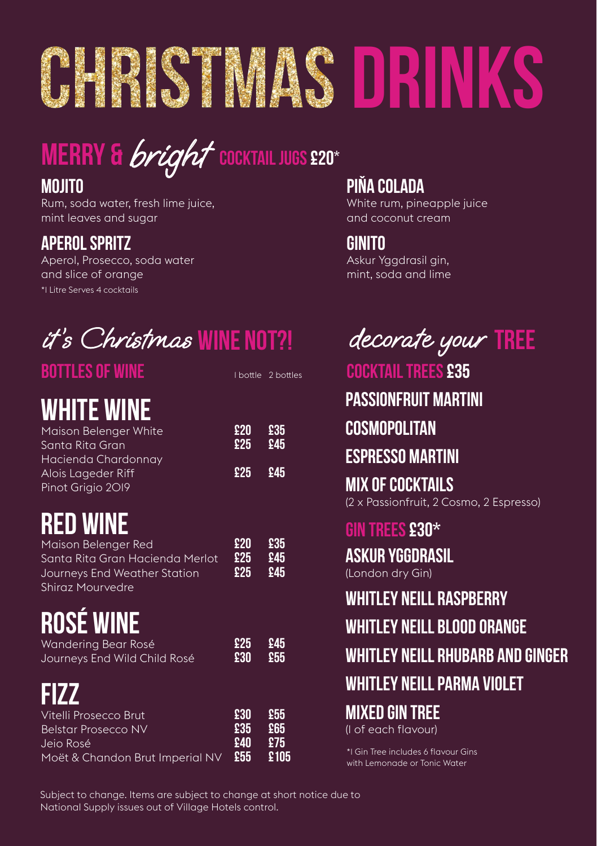# **DHRISTMAS DRINKS**

# **COCKTAIL JUGS £20\* MERRY &** bright

### **Mojito**

Rum, soda water, fresh lime juice, mint leaves and sugar

### **APEROL SPRITZ**

\*1 Litre Serves 4 cocktails Aperol, Prosecco, soda water and slice of orange

# it's Christmas **WINE NOT?!** decorate your **TREE**

| <b>BOTTLES OF WINE</b>                 |            | I bottle 2 bottles |
|----------------------------------------|------------|--------------------|
| <b>WHITE WINE</b>                      |            |                    |
| Maison Belenger White                  | £20<br>£25 | £35<br>£45         |
| Santa Rita Gran<br>Hacienda Chardonnay |            |                    |
| Alois Lageder Riff                     | £25        | £45                |
| Pinot Grigio 2019                      |            |                    |
| <b>RED WINE</b>                        |            |                    |
| Maison Belenger Red                    | £20        | £35                |
| Santa Rita Gran Hacienda Merlot        | £25        | £45                |
| Journeys End Weather Station           | £25        | <b>945</b>         |
| Shiraz Mourvedre                       |            |                    |
| <b>ROSÉ WINE</b>                       |            |                    |
| Wandering Bear Rosé                    | £25        | £45                |
| Journeys End Wild Child Rosé           | 530        | £55                |
| FIZZ                                   |            |                    |
| Vitelli Prosecco Brut                  | £30        | £55                |
| <b>Belstar Prosecco NV</b>             | £35        | £65                |
| Jeio Rosé                              | £40        | \$75               |
| Moët & Chandon Brut Imperial NV        | £55        | £105               |

### **PIŇA COLADA**

White rum, pineapple juice and coconut cream

### **Ginito**

Askur Yggdrasil gin, mint, soda and lime

**cocktail trees £35**

**Passionfruit Martini**

### **Cosmopolitan**

### **Espresso Martini**

**Mix of Cocktails** (2 x Passionfruit, 2 Cosmo, 2 Espresso)

### **gin trees £30\***

**Askur Yggdrasil** 

(London dry Gin)

#### **Whitley Neill Raspberry**

**Whitley Neill Blood Orange** 

### **Whitley Neill Rhubarb and Ginger**

### **Whitley Neill Parma Violet**

### **Mixed Gin Tree**

(1 of each flavour)

\*1 Gin Tree includes 6 flavour Gins with Lemonade or Tonic Water

Subject to change. Items are subject to change at short notice due to National Supply issues out of Village Hotels control.